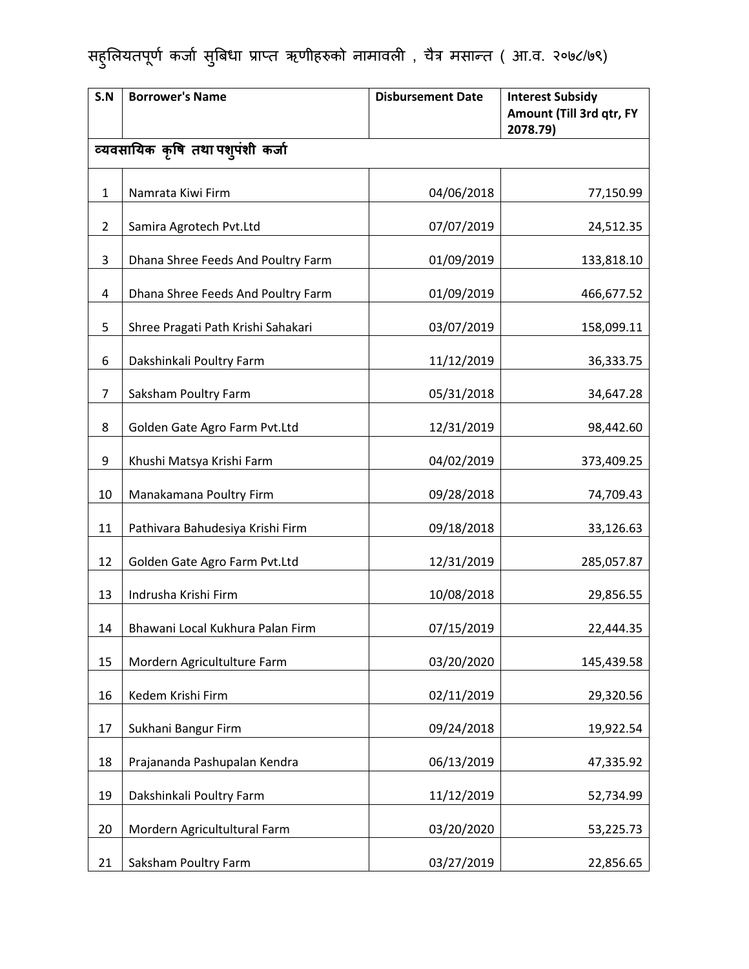| S.N            | <b>Borrower's Name</b>             | <b>Disbursement Date</b> | <b>Interest Subsidy</b><br>Amount (Till 3rd qtr, FY<br>2078.79) |
|----------------|------------------------------------|--------------------------|-----------------------------------------------------------------|
|                | व्यवसायिक कृषि तथा पश्पंशी कर्जा   |                          |                                                                 |
| $\mathbf{1}$   | Namrata Kiwi Firm                  | 04/06/2018               | 77,150.99                                                       |
| $\overline{2}$ | Samira Agrotech Pvt.Ltd            | 07/07/2019               | 24,512.35                                                       |
| 3              | Dhana Shree Feeds And Poultry Farm | 01/09/2019               | 133,818.10                                                      |
| 4              | Dhana Shree Feeds And Poultry Farm | 01/09/2019               | 466,677.52                                                      |
| 5              | Shree Pragati Path Krishi Sahakari | 03/07/2019               | 158,099.11                                                      |
| 6              | Dakshinkali Poultry Farm           | 11/12/2019               | 36,333.75                                                       |
| 7              | Saksham Poultry Farm               | 05/31/2018               | 34,647.28                                                       |
| 8              | Golden Gate Agro Farm Pvt.Ltd      | 12/31/2019               | 98,442.60                                                       |
| 9              | Khushi Matsya Krishi Farm          | 04/02/2019               | 373,409.25                                                      |
| 10             | Manakamana Poultry Firm            | 09/28/2018               | 74,709.43                                                       |
| 11             | Pathivara Bahudesiya Krishi Firm   | 09/18/2018               | 33,126.63                                                       |
| 12             | Golden Gate Agro Farm Pvt.Ltd      | 12/31/2019               | 285,057.87                                                      |
| 13             | Indrusha Krishi Firm               | 10/08/2018               | 29,856.55                                                       |
| 14             | Bhawani Local Kukhura Palan Firm   | 07/15/2019               | 22,444.35                                                       |
| 15             | Mordern Agricultulture Farm        | 03/20/2020               | 145,439.58                                                      |
| 16             | Kedem Krishi Firm                  | 02/11/2019               | 29,320.56                                                       |
| 17             | Sukhani Bangur Firm                | 09/24/2018               | 19,922.54                                                       |
| 18             | Prajananda Pashupalan Kendra       | 06/13/2019               | 47,335.92                                                       |
| 19             | Dakshinkali Poultry Farm           | 11/12/2019               | 52,734.99                                                       |
| 20             | Mordern Agricultultural Farm       | 03/20/2020               | 53,225.73                                                       |
| 21             | Saksham Poultry Farm               | 03/27/2019               | 22,856.65                                                       |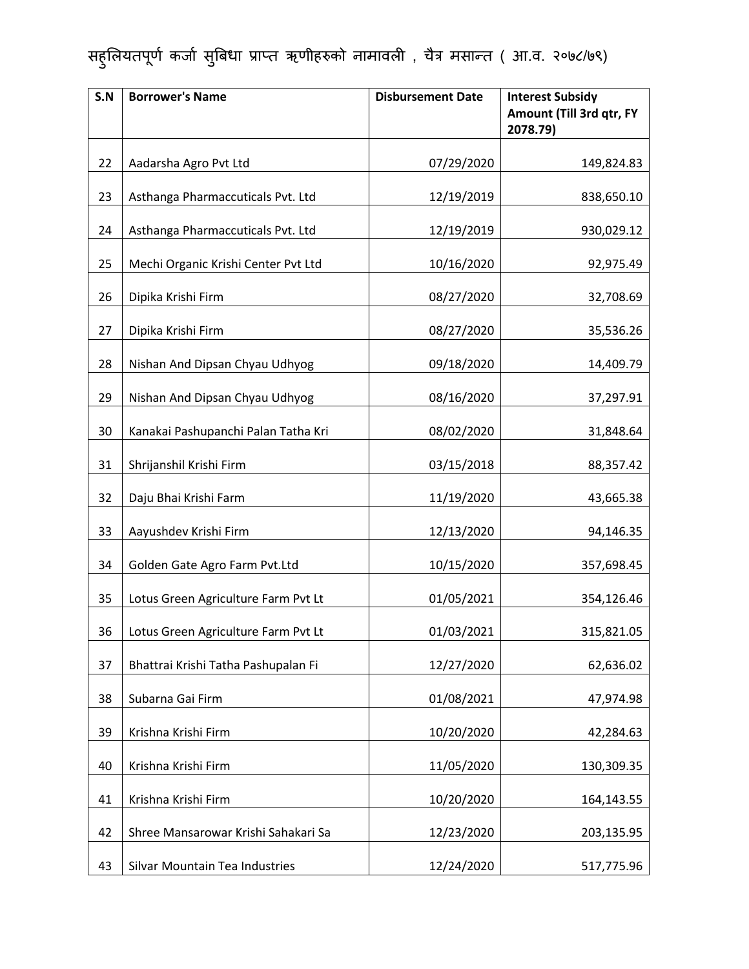| S.N | <b>Borrower's Name</b>              | <b>Disbursement Date</b> | <b>Interest Subsidy</b><br>Amount (Till 3rd qtr, FY<br>2078.79) |
|-----|-------------------------------------|--------------------------|-----------------------------------------------------------------|
| 22  | Aadarsha Agro Pvt Ltd               | 07/29/2020               | 149,824.83                                                      |
| 23  | Asthanga Pharmaccuticals Pvt. Ltd   | 12/19/2019               | 838,650.10                                                      |
| 24  | Asthanga Pharmaccuticals Pvt. Ltd   | 12/19/2019               | 930,029.12                                                      |
| 25  | Mechi Organic Krishi Center Pvt Ltd | 10/16/2020               | 92,975.49                                                       |
| 26  | Dipika Krishi Firm                  | 08/27/2020               | 32,708.69                                                       |
| 27  | Dipika Krishi Firm                  | 08/27/2020               | 35,536.26                                                       |
| 28  | Nishan And Dipsan Chyau Udhyog      | 09/18/2020               | 14,409.79                                                       |
| 29  | Nishan And Dipsan Chyau Udhyog      | 08/16/2020               | 37,297.91                                                       |
| 30  | Kanakai Pashupanchi Palan Tatha Kri | 08/02/2020               | 31,848.64                                                       |
| 31  | Shrijanshil Krishi Firm             | 03/15/2018               | 88,357.42                                                       |
| 32  | Daju Bhai Krishi Farm               | 11/19/2020               | 43,665.38                                                       |
| 33  | Aayushdev Krishi Firm               | 12/13/2020               | 94,146.35                                                       |
| 34  | Golden Gate Agro Farm Pvt.Ltd       | 10/15/2020               | 357,698.45                                                      |
| 35  | Lotus Green Agriculture Farm Pvt Lt | 01/05/2021               | 354,126.46                                                      |
| 36  | Lotus Green Agriculture Farm Pvt Lt | 01/03/2021               | 315,821.05                                                      |
| 37  | Bhattrai Krishi Tatha Pashupalan Fi | 12/27/2020               | 62,636.02                                                       |
| 38  | Subarna Gai Firm                    | 01/08/2021               | 47,974.98                                                       |
| 39  | Krishna Krishi Firm                 | 10/20/2020               | 42,284.63                                                       |
| 40  | Krishna Krishi Firm                 | 11/05/2020               | 130,309.35                                                      |
| 41  | Krishna Krishi Firm                 | 10/20/2020               | 164,143.55                                                      |
| 42  | Shree Mansarowar Krishi Sahakari Sa | 12/23/2020               | 203,135.95                                                      |
| 43  | Silvar Mountain Tea Industries      | 12/24/2020               | 517,775.96                                                      |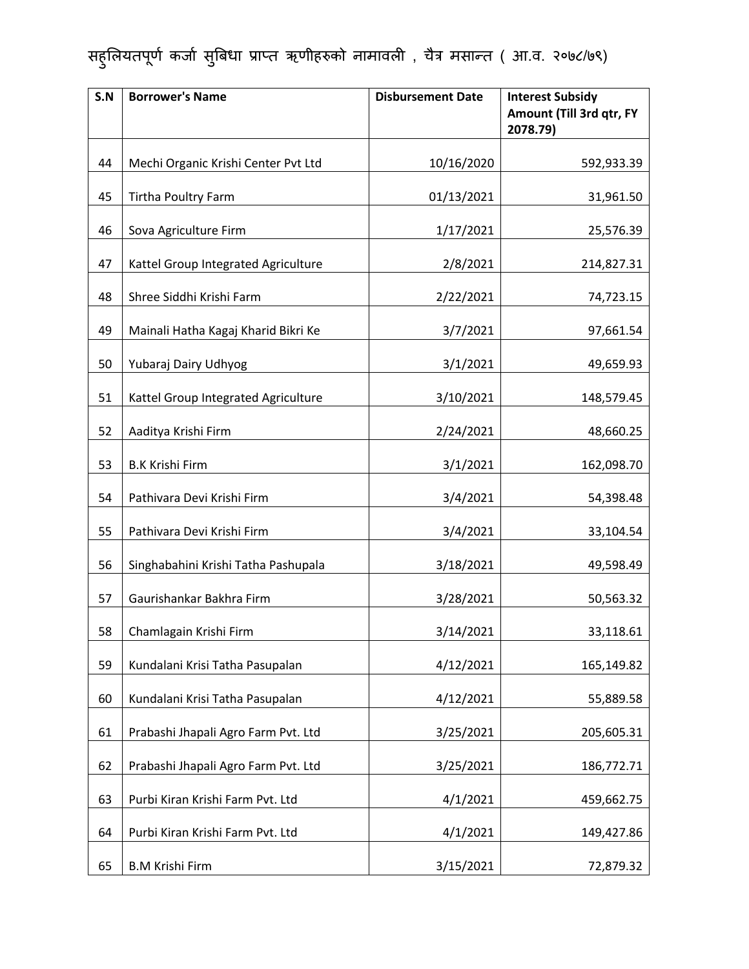| S.N | <b>Borrower's Name</b>              | <b>Disbursement Date</b> | <b>Interest Subsidy</b><br>Amount (Till 3rd qtr, FY<br>2078.79) |
|-----|-------------------------------------|--------------------------|-----------------------------------------------------------------|
| 44  | Mechi Organic Krishi Center Pvt Ltd | 10/16/2020               | 592,933.39                                                      |
| 45  | Tirtha Poultry Farm                 | 01/13/2021               | 31,961.50                                                       |
| 46  | Sova Agriculture Firm               | 1/17/2021                | 25,576.39                                                       |
| 47  | Kattel Group Integrated Agriculture | 2/8/2021                 | 214,827.31                                                      |
| 48  | Shree Siddhi Krishi Farm            | 2/22/2021                | 74,723.15                                                       |
| 49  | Mainali Hatha Kagaj Kharid Bikri Ke | 3/7/2021                 | 97,661.54                                                       |
| 50  | Yubaraj Dairy Udhyog                | 3/1/2021                 | 49,659.93                                                       |
| 51  | Kattel Group Integrated Agriculture | 3/10/2021                | 148,579.45                                                      |
| 52  | Aaditya Krishi Firm                 | 2/24/2021                | 48,660.25                                                       |
| 53  | <b>B.K Krishi Firm</b>              | 3/1/2021                 | 162,098.70                                                      |
| 54  | Pathivara Devi Krishi Firm          | 3/4/2021                 | 54,398.48                                                       |
| 55  | Pathivara Devi Krishi Firm          | 3/4/2021                 | 33,104.54                                                       |
| 56  | Singhabahini Krishi Tatha Pashupala | 3/18/2021                | 49,598.49                                                       |
| 57  | Gaurishankar Bakhra Firm            | 3/28/2021                | 50,563.32                                                       |
| 58  | Chamlagain Krishi Firm              | 3/14/2021                | 33,118.61                                                       |
| 59  | Kundalani Krisi Tatha Pasupalan     | 4/12/2021                | 165,149.82                                                      |
| 60  | Kundalani Krisi Tatha Pasupalan     | 4/12/2021                | 55,889.58                                                       |
| 61  | Prabashi Jhapali Agro Farm Pvt. Ltd | 3/25/2021                | 205,605.31                                                      |
| 62  | Prabashi Jhapali Agro Farm Pvt. Ltd | 3/25/2021                | 186,772.71                                                      |
| 63  | Purbi Kiran Krishi Farm Pvt. Ltd    | 4/1/2021                 | 459,662.75                                                      |
| 64  | Purbi Kiran Krishi Farm Pvt. Ltd    | 4/1/2021                 | 149,427.86                                                      |
| 65  | <b>B.M Krishi Firm</b>              | 3/15/2021                | 72,879.32                                                       |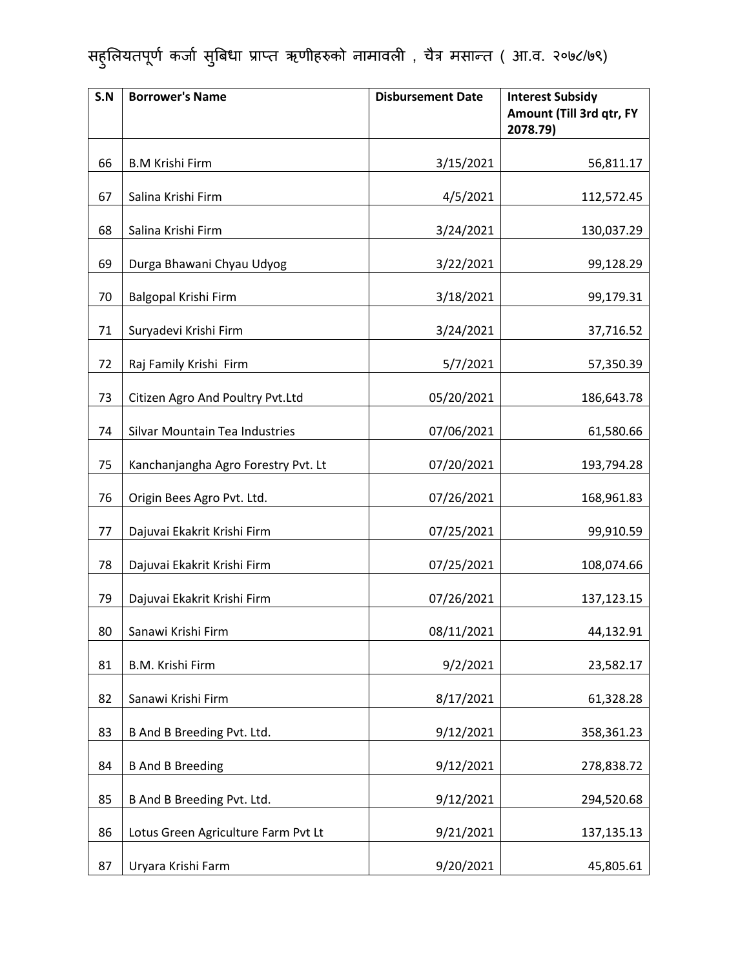| S.N | <b>Borrower's Name</b>              | <b>Disbursement Date</b> | <b>Interest Subsidy</b><br>Amount (Till 3rd qtr, FY<br>2078.79) |
|-----|-------------------------------------|--------------------------|-----------------------------------------------------------------|
| 66  | <b>B.M Krishi Firm</b>              | 3/15/2021                | 56,811.17                                                       |
| 67  | Salina Krishi Firm                  | 4/5/2021                 | 112,572.45                                                      |
| 68  | Salina Krishi Firm                  | 3/24/2021                | 130,037.29                                                      |
| 69  | Durga Bhawani Chyau Udyog           | 3/22/2021                | 99,128.29                                                       |
| 70  | Balgopal Krishi Firm                | 3/18/2021                | 99,179.31                                                       |
| 71  | Suryadevi Krishi Firm               | 3/24/2021                | 37,716.52                                                       |
| 72  | Raj Family Krishi Firm              | 5/7/2021                 | 57,350.39                                                       |
| 73  | Citizen Agro And Poultry Pvt.Ltd    | 05/20/2021               | 186,643.78                                                      |
| 74  | Silvar Mountain Tea Industries      | 07/06/2021               | 61,580.66                                                       |
| 75  | Kanchanjangha Agro Forestry Pvt. Lt | 07/20/2021               | 193,794.28                                                      |
| 76  | Origin Bees Agro Pvt. Ltd.          | 07/26/2021               | 168,961.83                                                      |
| 77  | Dajuvai Ekakrit Krishi Firm         | 07/25/2021               | 99,910.59                                                       |
| 78  | Dajuvai Ekakrit Krishi Firm         | 07/25/2021               | 108,074.66                                                      |
| 79  | Dajuvai Ekakrit Krishi Firm         | 07/26/2021               | 137,123.15                                                      |
| 80  | Sanawi Krishi Firm                  | 08/11/2021               | 44,132.91                                                       |
| 81  | B.M. Krishi Firm                    | 9/2/2021                 | 23,582.17                                                       |
| 82  | Sanawi Krishi Firm                  | 8/17/2021                | 61,328.28                                                       |
| 83  | B And B Breeding Pvt. Ltd.          | 9/12/2021                | 358,361.23                                                      |
| 84  | <b>B And B Breeding</b>             | 9/12/2021                | 278,838.72                                                      |
| 85  | B And B Breeding Pvt. Ltd.          | 9/12/2021                | 294,520.68                                                      |
| 86  | Lotus Green Agriculture Farm Pvt Lt | 9/21/2021                | 137,135.13                                                      |
| 87  | Uryara Krishi Farm                  | 9/20/2021                | 45,805.61                                                       |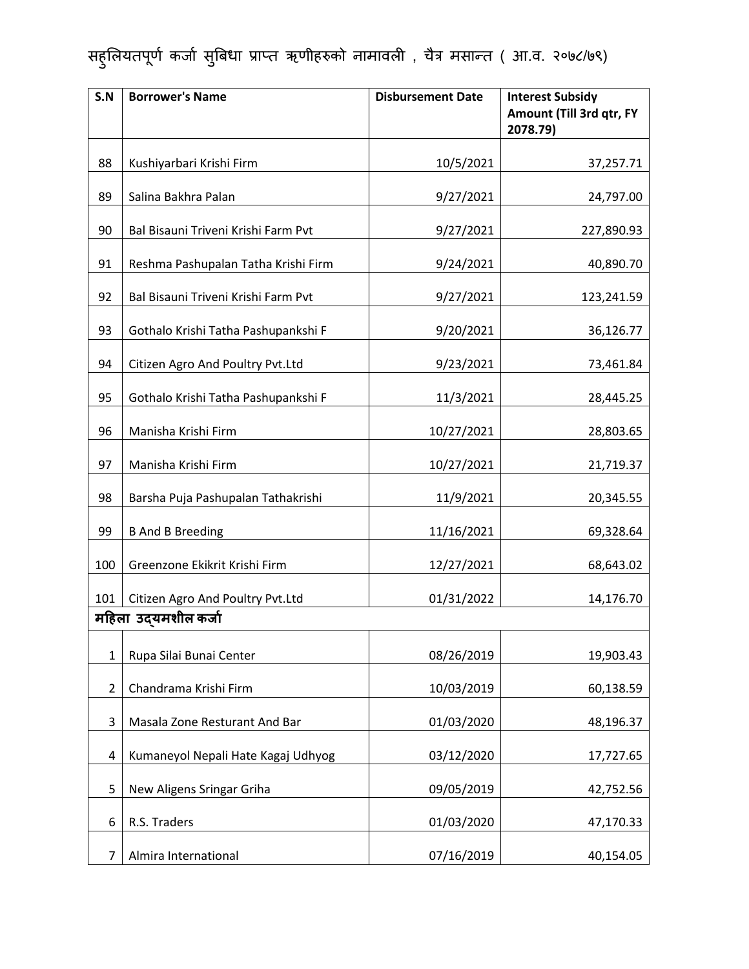| S.N            | <b>Borrower's Name</b>              | <b>Disbursement Date</b> | <b>Interest Subsidy</b><br>Amount (Till 3rd qtr, FY<br>2078.79) |
|----------------|-------------------------------------|--------------------------|-----------------------------------------------------------------|
| 88             | Kushiyarbari Krishi Firm            | 10/5/2021                | 37,257.71                                                       |
| 89             | Salina Bakhra Palan                 | 9/27/2021                | 24,797.00                                                       |
| 90             | Bal Bisauni Triveni Krishi Farm Pvt | 9/27/2021                | 227,890.93                                                      |
| 91             | Reshma Pashupalan Tatha Krishi Firm | 9/24/2021                | 40,890.70                                                       |
| 92             | Bal Bisauni Triveni Krishi Farm Pvt | 9/27/2021                | 123,241.59                                                      |
| 93             | Gothalo Krishi Tatha Pashupankshi F | 9/20/2021                | 36,126.77                                                       |
| 94             | Citizen Agro And Poultry Pvt.Ltd    | 9/23/2021                | 73,461.84                                                       |
| 95             | Gothalo Krishi Tatha Pashupankshi F | 11/3/2021                | 28,445.25                                                       |
| 96             | Manisha Krishi Firm                 | 10/27/2021               | 28,803.65                                                       |
| 97             | Manisha Krishi Firm                 | 10/27/2021               | 21,719.37                                                       |
| 98             | Barsha Puja Pashupalan Tathakrishi  | 11/9/2021                | 20,345.55                                                       |
| 99             | <b>B And B Breeding</b>             | 11/16/2021               | 69,328.64                                                       |
| 100            | Greenzone Ekikrit Krishi Firm       | 12/27/2021               | 68,643.02                                                       |
| 101            | Citizen Agro And Poultry Pvt.Ltd    | 01/31/2022               | 14,176.70                                                       |
|                | महिला उद्यमशील कर्जा                |                          |                                                                 |
| 1              | Rupa Silai Bunai Center             | 08/26/2019               | 19,903.43                                                       |
| $\overline{2}$ | Chandrama Krishi Firm               | 10/03/2019               | 60,138.59                                                       |
| 3              | Masala Zone Resturant And Bar       | 01/03/2020               | 48,196.37                                                       |
| 4              | Kumaneyol Nepali Hate Kagaj Udhyog  | 03/12/2020               | 17,727.65                                                       |
| 5              | New Aligens Sringar Griha           | 09/05/2019               | 42,752.56                                                       |
| 6              | R.S. Traders                        | 01/03/2020               | 47,170.33                                                       |
| 7              | Almira International                | 07/16/2019               | 40,154.05                                                       |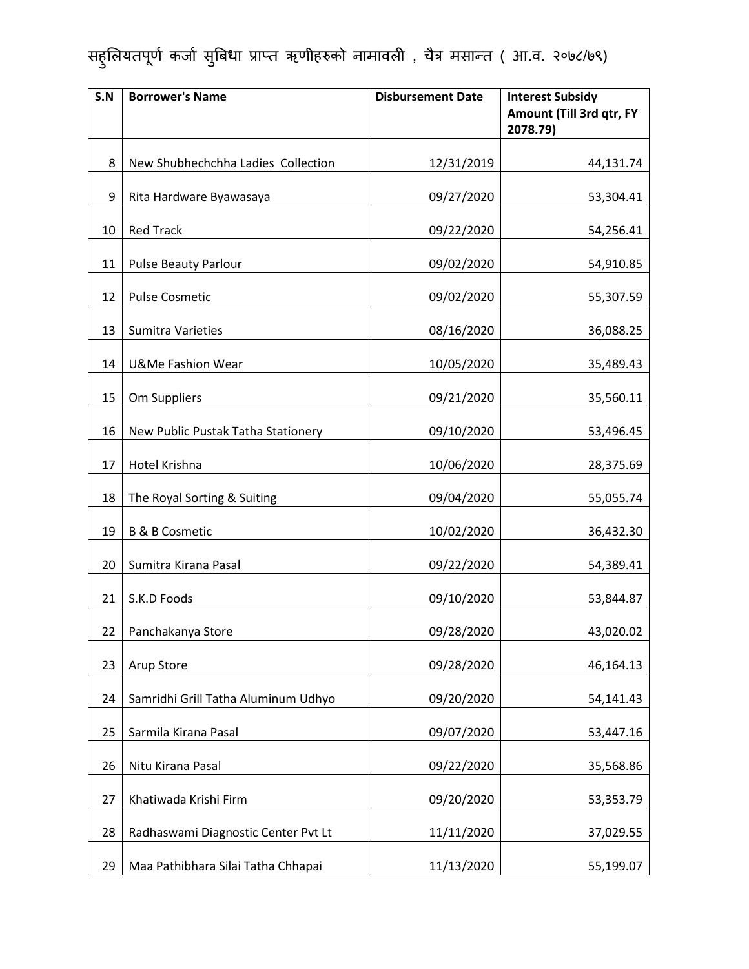| S.N | <b>Borrower's Name</b>              | <b>Disbursement Date</b> | <b>Interest Subsidy</b><br>Amount (Till 3rd qtr, FY<br>2078.79) |
|-----|-------------------------------------|--------------------------|-----------------------------------------------------------------|
| 8   | New Shubhechchha Ladies Collection  | 12/31/2019               | 44,131.74                                                       |
| 9   | Rita Hardware Byawasaya             | 09/27/2020               | 53,304.41                                                       |
| 10  | <b>Red Track</b>                    | 09/22/2020               | 54,256.41                                                       |
| 11  | <b>Pulse Beauty Parlour</b>         | 09/02/2020               | 54,910.85                                                       |
| 12  | <b>Pulse Cosmetic</b>               | 09/02/2020               | 55,307.59                                                       |
| 13  | <b>Sumitra Varieties</b>            | 08/16/2020               | 36,088.25                                                       |
| 14  | <b>U&amp;Me Fashion Wear</b>        | 10/05/2020               | 35,489.43                                                       |
| 15  | Om Suppliers                        | 09/21/2020               | 35,560.11                                                       |
| 16  | New Public Pustak Tatha Stationery  | 09/10/2020               | 53,496.45                                                       |
| 17  | Hotel Krishna                       | 10/06/2020               | 28,375.69                                                       |
| 18  | The Royal Sorting & Suiting         | 09/04/2020               | 55,055.74                                                       |
| 19  | <b>B &amp; B Cosmetic</b>           | 10/02/2020               | 36,432.30                                                       |
| 20  | Sumitra Kirana Pasal                | 09/22/2020               | 54,389.41                                                       |
| 21  | S.K.D Foods                         | 09/10/2020               | 53,844.87                                                       |
| 22  | Panchakanya Store                   | 09/28/2020               | 43,020.02                                                       |
| 23  | Arup Store                          | 09/28/2020               | 46,164.13                                                       |
| 24  | Samridhi Grill Tatha Aluminum Udhyo | 09/20/2020               | 54,141.43                                                       |
| 25  | Sarmila Kirana Pasal                | 09/07/2020               | 53,447.16                                                       |
| 26  | Nitu Kirana Pasal                   | 09/22/2020               | 35,568.86                                                       |
| 27  | Khatiwada Krishi Firm               | 09/20/2020               | 53,353.79                                                       |
| 28  | Radhaswami Diagnostic Center Pvt Lt | 11/11/2020               | 37,029.55                                                       |
| 29  | Maa Pathibhara Silai Tatha Chhapai  | 11/13/2020               | 55,199.07                                                       |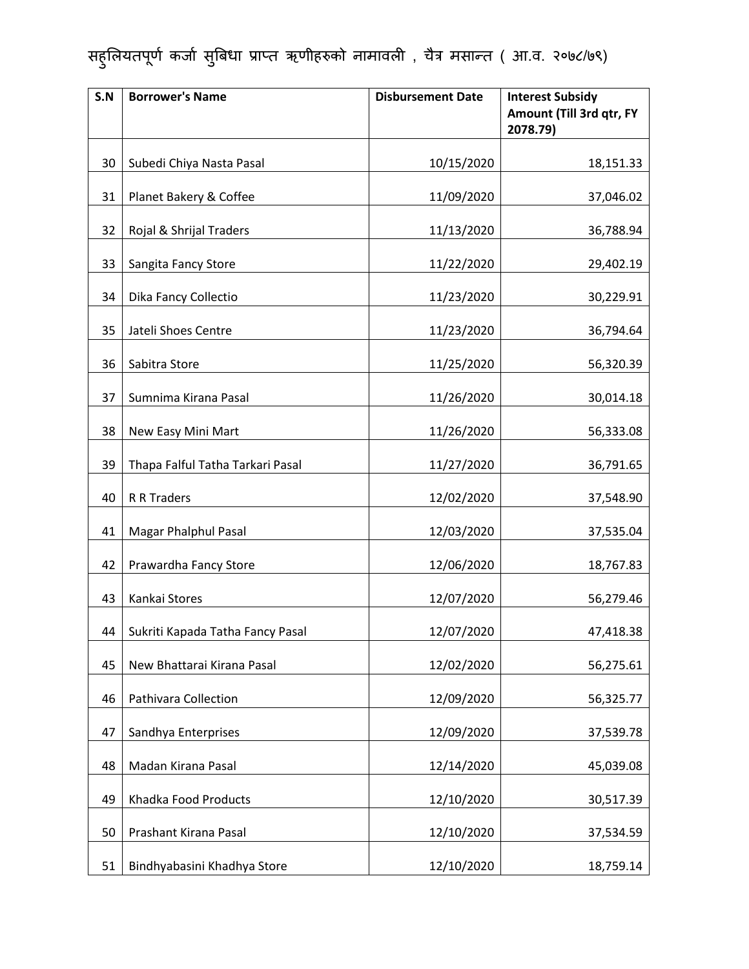| S.N | <b>Borrower's Name</b>           | <b>Disbursement Date</b> | <b>Interest Subsidy</b><br>Amount (Till 3rd qtr, FY<br>2078.79) |
|-----|----------------------------------|--------------------------|-----------------------------------------------------------------|
| 30  | Subedi Chiya Nasta Pasal         | 10/15/2020               | 18,151.33                                                       |
| 31  | Planet Bakery & Coffee           | 11/09/2020               | 37,046.02                                                       |
| 32  | Rojal & Shrijal Traders          | 11/13/2020               | 36,788.94                                                       |
| 33  | Sangita Fancy Store              | 11/22/2020               | 29,402.19                                                       |
| 34  | Dika Fancy Collectio             | 11/23/2020               | 30,229.91                                                       |
| 35  | Jateli Shoes Centre              | 11/23/2020               | 36,794.64                                                       |
| 36  | Sabitra Store                    | 11/25/2020               | 56,320.39                                                       |
| 37  | Sumnima Kirana Pasal             | 11/26/2020               | 30,014.18                                                       |
| 38  | New Easy Mini Mart               | 11/26/2020               | 56,333.08                                                       |
| 39  | Thapa Falful Tatha Tarkari Pasal | 11/27/2020               | 36,791.65                                                       |
| 40  | R R Traders                      | 12/02/2020               | 37,548.90                                                       |
| 41  | <b>Magar Phalphul Pasal</b>      | 12/03/2020               | 37,535.04                                                       |
| 42  | Prawardha Fancy Store            | 12/06/2020               | 18,767.83                                                       |
| 43  | Kankai Stores                    | 12/07/2020               | 56,279.46                                                       |
| 44  | Sukriti Kapada Tatha Fancy Pasal | 12/07/2020               | 47,418.38                                                       |
| 45  | New Bhattarai Kirana Pasal       | 12/02/2020               | 56,275.61                                                       |
| 46  | <b>Pathivara Collection</b>      | 12/09/2020               | 56,325.77                                                       |
| 47  | Sandhya Enterprises              | 12/09/2020               | 37,539.78                                                       |
| 48  | Madan Kirana Pasal               | 12/14/2020               | 45,039.08                                                       |
| 49  | Khadka Food Products             | 12/10/2020               | 30,517.39                                                       |
| 50  | Prashant Kirana Pasal            | 12/10/2020               | 37,534.59                                                       |
| 51  | Bindhyabasini Khadhya Store      | 12/10/2020               | 18,759.14                                                       |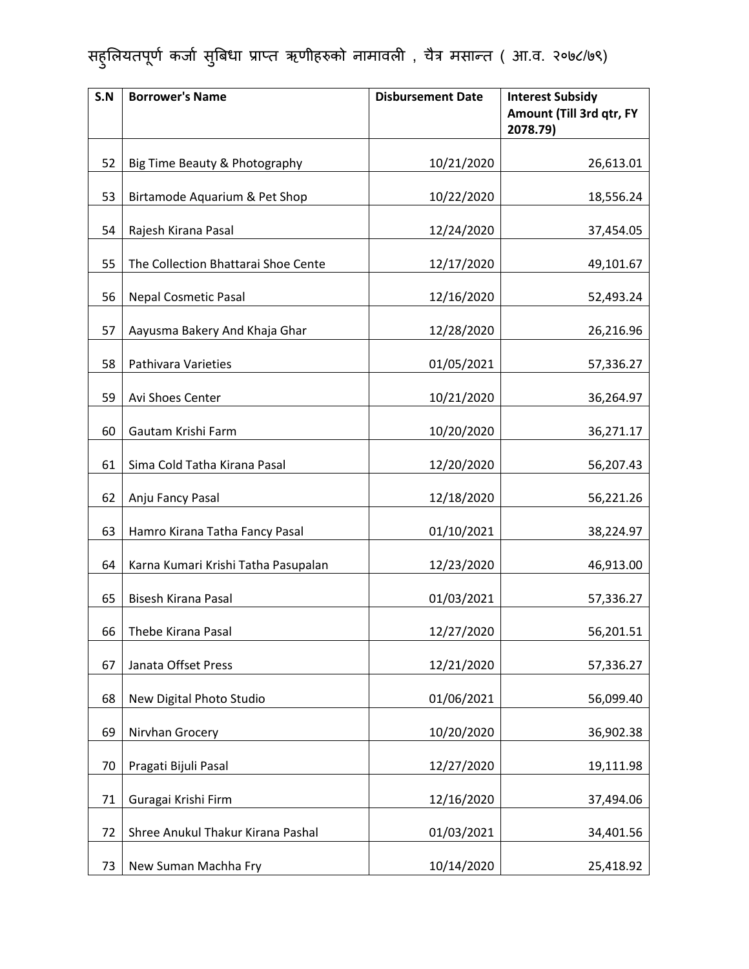| S.N | <b>Borrower's Name</b>              | <b>Disbursement Date</b> | <b>Interest Subsidy</b><br>Amount (Till 3rd qtr, FY<br>2078.79) |
|-----|-------------------------------------|--------------------------|-----------------------------------------------------------------|
| 52  | Big Time Beauty & Photography       | 10/21/2020               | 26,613.01                                                       |
| 53  | Birtamode Aquarium & Pet Shop       | 10/22/2020               | 18,556.24                                                       |
| 54  | Rajesh Kirana Pasal                 | 12/24/2020               | 37,454.05                                                       |
| 55  | The Collection Bhattarai Shoe Cente | 12/17/2020               | 49,101.67                                                       |
| 56  | <b>Nepal Cosmetic Pasal</b>         | 12/16/2020               | 52,493.24                                                       |
| 57  | Aayusma Bakery And Khaja Ghar       | 12/28/2020               | 26,216.96                                                       |
| 58  | Pathivara Varieties                 | 01/05/2021               | 57,336.27                                                       |
| 59  | Avi Shoes Center                    | 10/21/2020               | 36,264.97                                                       |
| 60  | Gautam Krishi Farm                  | 10/20/2020               | 36,271.17                                                       |
| 61  | Sima Cold Tatha Kirana Pasal        | 12/20/2020               | 56,207.43                                                       |
| 62  | Anju Fancy Pasal                    | 12/18/2020               | 56,221.26                                                       |
| 63  | Hamro Kirana Tatha Fancy Pasal      | 01/10/2021               | 38,224.97                                                       |
| 64  | Karna Kumari Krishi Tatha Pasupalan | 12/23/2020               | 46,913.00                                                       |
| 65  | Bisesh Kirana Pasal                 | 01/03/2021               | 57,336.27                                                       |
| 66  | Thebe Kirana Pasal                  | 12/27/2020               | 56,201.51                                                       |
| 67  | Janata Offset Press                 | 12/21/2020               | 57,336.27                                                       |
| 68  | New Digital Photo Studio            | 01/06/2021               | 56,099.40                                                       |
| 69  | Nirvhan Grocery                     | 10/20/2020               | 36,902.38                                                       |
| 70  | Pragati Bijuli Pasal                | 12/27/2020               | 19,111.98                                                       |
| 71  | Guragai Krishi Firm                 | 12/16/2020               | 37,494.06                                                       |
| 72  | Shree Anukul Thakur Kirana Pashal   | 01/03/2021               | 34,401.56                                                       |
| 73  | New Suman Machha Fry                | 10/14/2020               | 25,418.92                                                       |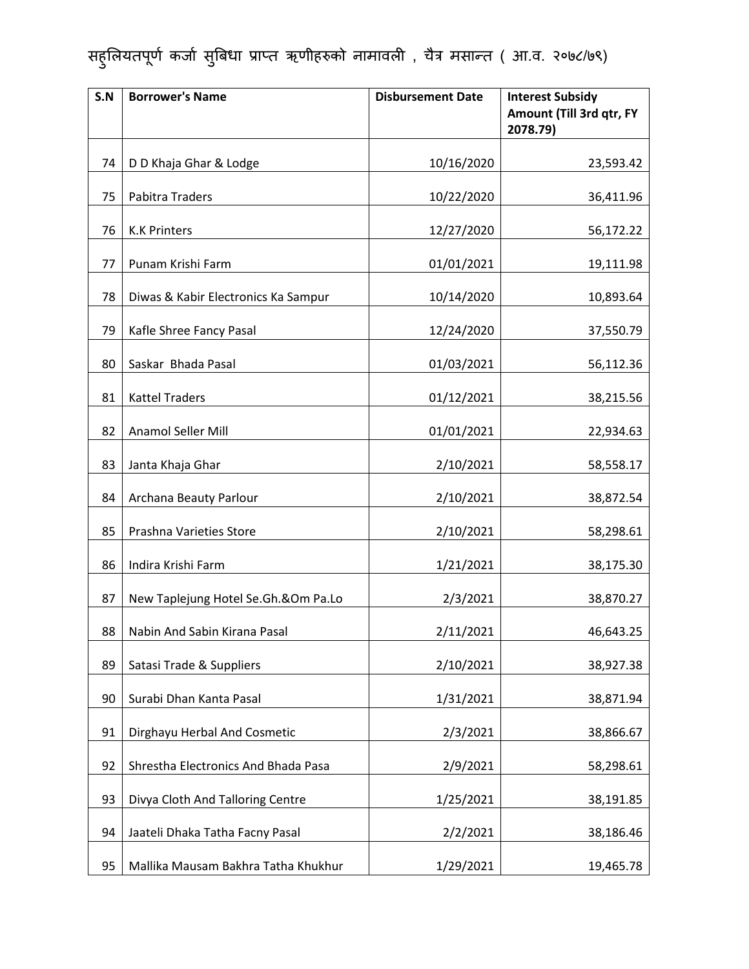| S.N | <b>Borrower's Name</b>              | <b>Disbursement Date</b> | <b>Interest Subsidy</b><br>Amount (Till 3rd qtr, FY<br>2078.79) |
|-----|-------------------------------------|--------------------------|-----------------------------------------------------------------|
| 74  | D D Khaja Ghar & Lodge              | 10/16/2020               | 23,593.42                                                       |
| 75  | Pabitra Traders                     | 10/22/2020               | 36,411.96                                                       |
| 76  | <b>K.K Printers</b>                 | 12/27/2020               | 56,172.22                                                       |
| 77  | Punam Krishi Farm                   | 01/01/2021               | 19,111.98                                                       |
| 78  | Diwas & Kabir Electronics Ka Sampur | 10/14/2020               | 10,893.64                                                       |
| 79  | Kafle Shree Fancy Pasal             | 12/24/2020               | 37,550.79                                                       |
| 80  | Saskar Bhada Pasal                  | 01/03/2021               | 56,112.36                                                       |
| 81  | <b>Kattel Traders</b>               | 01/12/2021               | 38,215.56                                                       |
| 82  | Anamol Seller Mill                  | 01/01/2021               | 22,934.63                                                       |
| 83  | Janta Khaja Ghar                    | 2/10/2021                | 58,558.17                                                       |
| 84  | Archana Beauty Parlour              | 2/10/2021                | 38,872.54                                                       |
| 85  | Prashna Varieties Store             | 2/10/2021                | 58,298.61                                                       |
| 86  | Indira Krishi Farm                  | 1/21/2021                | 38,175.30                                                       |
| 87  | New Taplejung Hotel Se.Gh.&Om Pa.Lo | 2/3/2021                 | 38,870.27                                                       |
| 88  | Nabin And Sabin Kirana Pasal        | 2/11/2021                | 46,643.25                                                       |
| 89  | Satasi Trade & Suppliers            | 2/10/2021                | 38,927.38                                                       |
| 90  | Surabi Dhan Kanta Pasal             | 1/31/2021                | 38,871.94                                                       |
| 91  | Dirghayu Herbal And Cosmetic        | 2/3/2021                 | 38,866.67                                                       |
| 92  | Shrestha Electronics And Bhada Pasa | 2/9/2021                 | 58,298.61                                                       |
| 93  | Divya Cloth And Talloring Centre    | 1/25/2021                | 38,191.85                                                       |
| 94  | Jaateli Dhaka Tatha Facny Pasal     | 2/2/2021                 | 38,186.46                                                       |
| 95  | Mallika Mausam Bakhra Tatha Khukhur | 1/29/2021                | 19,465.78                                                       |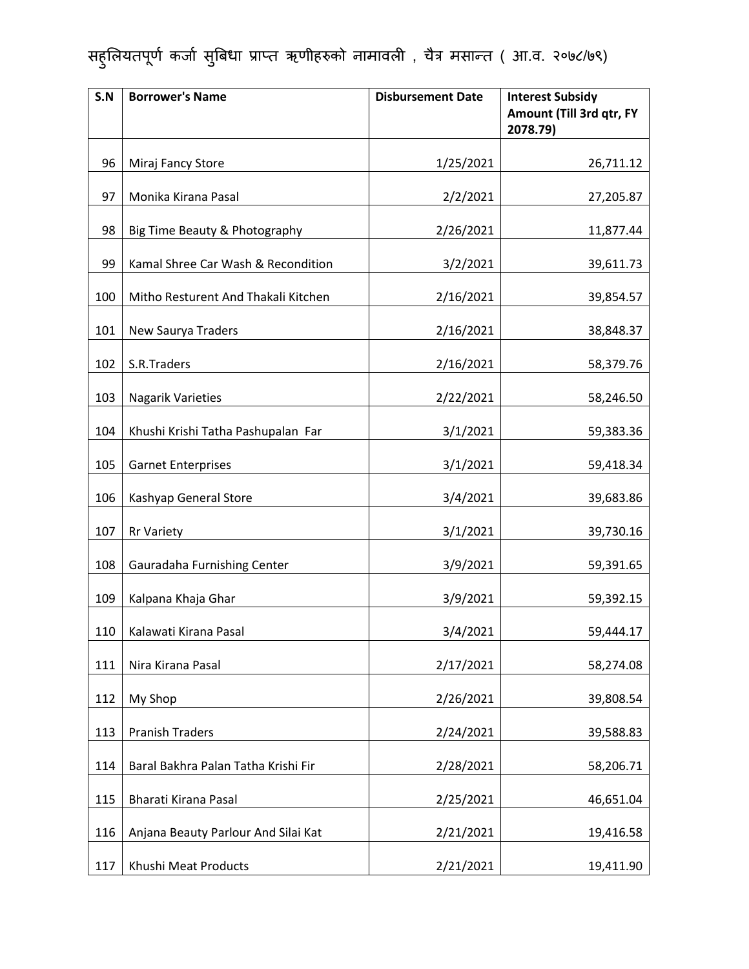| S.N | <b>Borrower's Name</b>              | <b>Disbursement Date</b> | <b>Interest Subsidy</b><br>Amount (Till 3rd qtr, FY<br>2078.79) |
|-----|-------------------------------------|--------------------------|-----------------------------------------------------------------|
| 96  | Miraj Fancy Store                   | 1/25/2021                | 26,711.12                                                       |
| 97  | Monika Kirana Pasal                 | 2/2/2021                 | 27,205.87                                                       |
| 98  | Big Time Beauty & Photography       | 2/26/2021                | 11,877.44                                                       |
| 99  | Kamal Shree Car Wash & Recondition  | 3/2/2021                 | 39,611.73                                                       |
| 100 | Mitho Resturent And Thakali Kitchen | 2/16/2021                | 39,854.57                                                       |
| 101 | New Saurya Traders                  | 2/16/2021                | 38,848.37                                                       |
| 102 | S.R.Traders                         | 2/16/2021                | 58,379.76                                                       |
| 103 | <b>Nagarik Varieties</b>            | 2/22/2021                | 58,246.50                                                       |
| 104 | Khushi Krishi Tatha Pashupalan Far  | 3/1/2021                 | 59,383.36                                                       |
| 105 | <b>Garnet Enterprises</b>           | 3/1/2021                 | 59,418.34                                                       |
| 106 | Kashyap General Store               | 3/4/2021                 | 39,683.86                                                       |
| 107 | <b>Rr Variety</b>                   | 3/1/2021                 | 39,730.16                                                       |
| 108 | Gauradaha Furnishing Center         | 3/9/2021                 | 59,391.65                                                       |
| 109 | Kalpana Khaja Ghar                  | 3/9/2021                 | 59,392.15                                                       |
| 110 | Kalawati Kirana Pasal               | 3/4/2021                 | 59,444.17                                                       |
| 111 | Nira Kirana Pasal                   | 2/17/2021                | 58,274.08                                                       |
| 112 | My Shop                             | 2/26/2021                | 39,808.54                                                       |
| 113 | <b>Pranish Traders</b>              | 2/24/2021                | 39,588.83                                                       |
| 114 | Baral Bakhra Palan Tatha Krishi Fir | 2/28/2021                | 58,206.71                                                       |
| 115 | Bharati Kirana Pasal                | 2/25/2021                | 46,651.04                                                       |
| 116 | Anjana Beauty Parlour And Silai Kat | 2/21/2021                | 19,416.58                                                       |
| 117 | Khushi Meat Products                | 2/21/2021                | 19,411.90                                                       |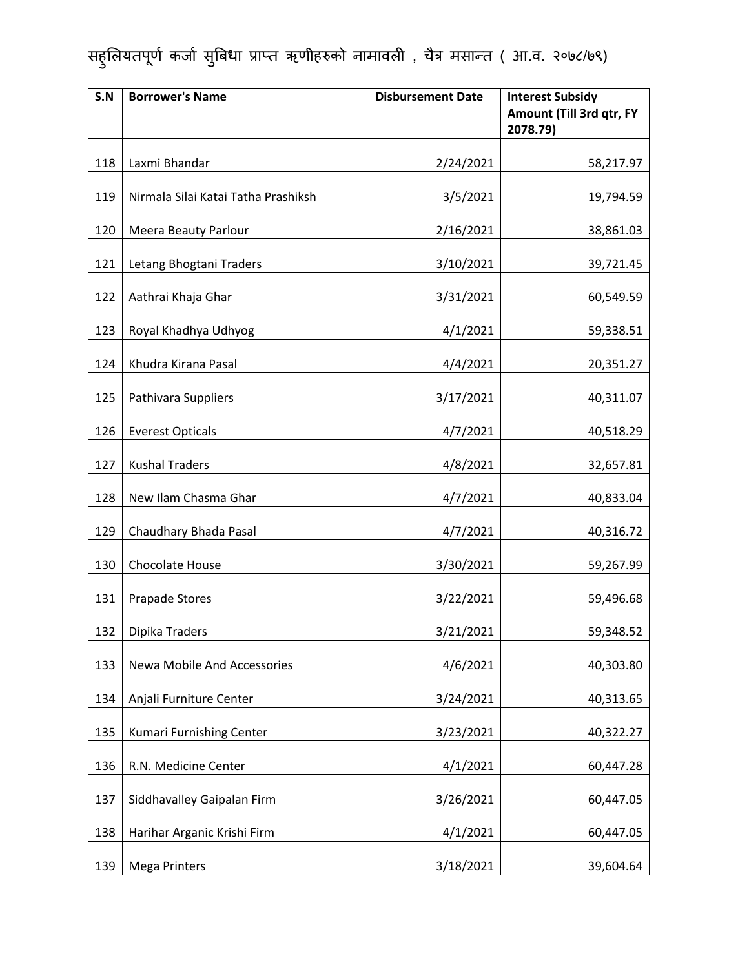| S.N | <b>Borrower's Name</b>              | <b>Disbursement Date</b> | <b>Interest Subsidy</b><br>Amount (Till 3rd qtr, FY<br>2078.79) |
|-----|-------------------------------------|--------------------------|-----------------------------------------------------------------|
| 118 | Laxmi Bhandar                       | 2/24/2021                | 58,217.97                                                       |
| 119 | Nirmala Silai Katai Tatha Prashiksh | 3/5/2021                 | 19,794.59                                                       |
| 120 | <b>Meera Beauty Parlour</b>         | 2/16/2021                | 38,861.03                                                       |
| 121 | Letang Bhogtani Traders             | 3/10/2021                | 39,721.45                                                       |
| 122 | Aathrai Khaja Ghar                  | 3/31/2021                | 60,549.59                                                       |
| 123 | Royal Khadhya Udhyog                | 4/1/2021                 | 59,338.51                                                       |
| 124 | Khudra Kirana Pasal                 | 4/4/2021                 | 20,351.27                                                       |
| 125 | Pathivara Suppliers                 | 3/17/2021                | 40,311.07                                                       |
| 126 | <b>Everest Opticals</b>             | 4/7/2021                 | 40,518.29                                                       |
| 127 | <b>Kushal Traders</b>               | 4/8/2021                 | 32,657.81                                                       |
| 128 | New Ilam Chasma Ghar                | 4/7/2021                 | 40,833.04                                                       |
| 129 | Chaudhary Bhada Pasal               | 4/7/2021                 | 40,316.72                                                       |
| 130 | Chocolate House                     | 3/30/2021                | 59,267.99                                                       |
| 131 | <b>Prapade Stores</b>               | 3/22/2021                | 59,496.68                                                       |
| 132 | Dipika Traders                      | 3/21/2021                | 59,348.52                                                       |
| 133 | Newa Mobile And Accessories         | 4/6/2021                 | 40,303.80                                                       |
| 134 | Anjali Furniture Center             | 3/24/2021                | 40,313.65                                                       |
| 135 | Kumari Furnishing Center            | 3/23/2021                | 40,322.27                                                       |
| 136 | R.N. Medicine Center                | 4/1/2021                 | 60,447.28                                                       |
| 137 | Siddhavalley Gaipalan Firm          | 3/26/2021                | 60,447.05                                                       |
| 138 | Harihar Arganic Krishi Firm         | 4/1/2021                 | 60,447.05                                                       |
| 139 | <b>Mega Printers</b>                | 3/18/2021                | 39,604.64                                                       |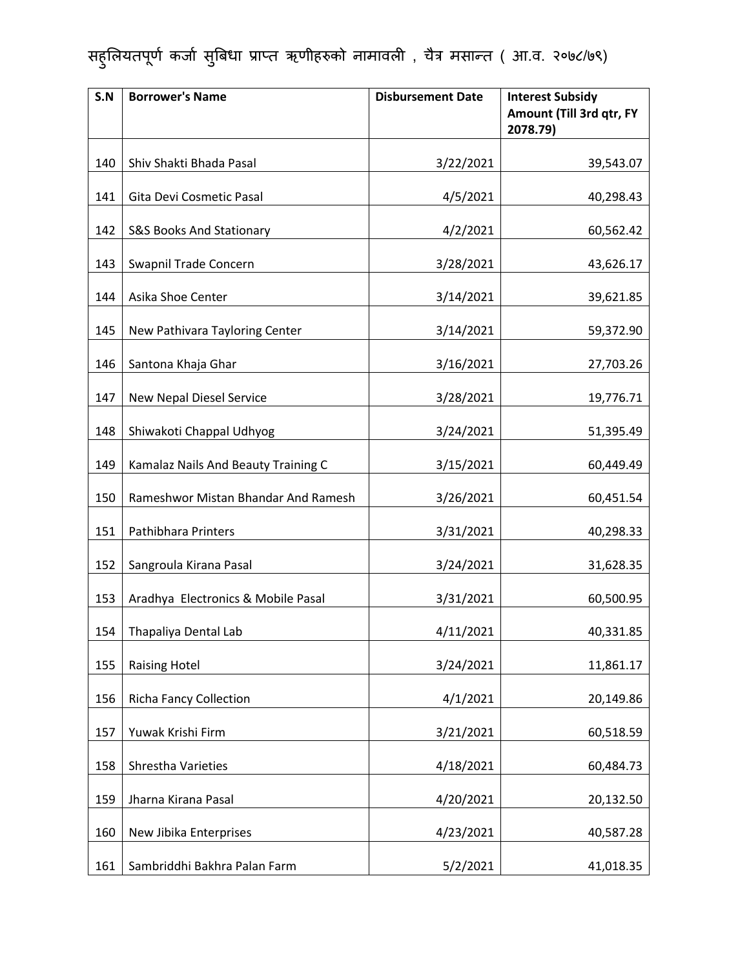| S.N | <b>Borrower's Name</b>              | <b>Disbursement Date</b> | <b>Interest Subsidy</b><br>Amount (Till 3rd qtr, FY<br>2078.79) |
|-----|-------------------------------------|--------------------------|-----------------------------------------------------------------|
| 140 | Shiv Shakti Bhada Pasal             | 3/22/2021                | 39,543.07                                                       |
| 141 | Gita Devi Cosmetic Pasal            | 4/5/2021                 | 40,298.43                                                       |
| 142 | <b>S&amp;S Books And Stationary</b> | 4/2/2021                 | 60,562.42                                                       |
| 143 | Swapnil Trade Concern               | 3/28/2021                | 43,626.17                                                       |
| 144 | Asika Shoe Center                   | 3/14/2021                | 39,621.85                                                       |
| 145 | New Pathivara Tayloring Center      | 3/14/2021                | 59,372.90                                                       |
| 146 | Santona Khaja Ghar                  | 3/16/2021                | 27,703.26                                                       |
| 147 | New Nepal Diesel Service            | 3/28/2021                | 19,776.71                                                       |
| 148 | Shiwakoti Chappal Udhyog            | 3/24/2021                | 51,395.49                                                       |
| 149 | Kamalaz Nails And Beauty Training C | 3/15/2021                | 60,449.49                                                       |
| 150 | Rameshwor Mistan Bhandar And Ramesh | 3/26/2021                | 60,451.54                                                       |
| 151 | <b>Pathibhara Printers</b>          | 3/31/2021                | 40,298.33                                                       |
| 152 | Sangroula Kirana Pasal              | 3/24/2021                | 31,628.35                                                       |
| 153 | Aradhya Electronics & Mobile Pasal  | 3/31/2021                | 60,500.95                                                       |
| 154 | Thapaliya Dental Lab                | 4/11/2021                | 40,331.85                                                       |
| 155 | <b>Raising Hotel</b>                | 3/24/2021                | 11,861.17                                                       |
| 156 | <b>Richa Fancy Collection</b>       | 4/1/2021                 | 20,149.86                                                       |
| 157 | Yuwak Krishi Firm                   | 3/21/2021                | 60,518.59                                                       |
| 158 | Shrestha Varieties                  | 4/18/2021                | 60,484.73                                                       |
| 159 | Jharna Kirana Pasal                 | 4/20/2021                | 20,132.50                                                       |
| 160 | New Jibika Enterprises              | 4/23/2021                | 40,587.28                                                       |
| 161 | Sambriddhi Bakhra Palan Farm        | 5/2/2021                 | 41,018.35                                                       |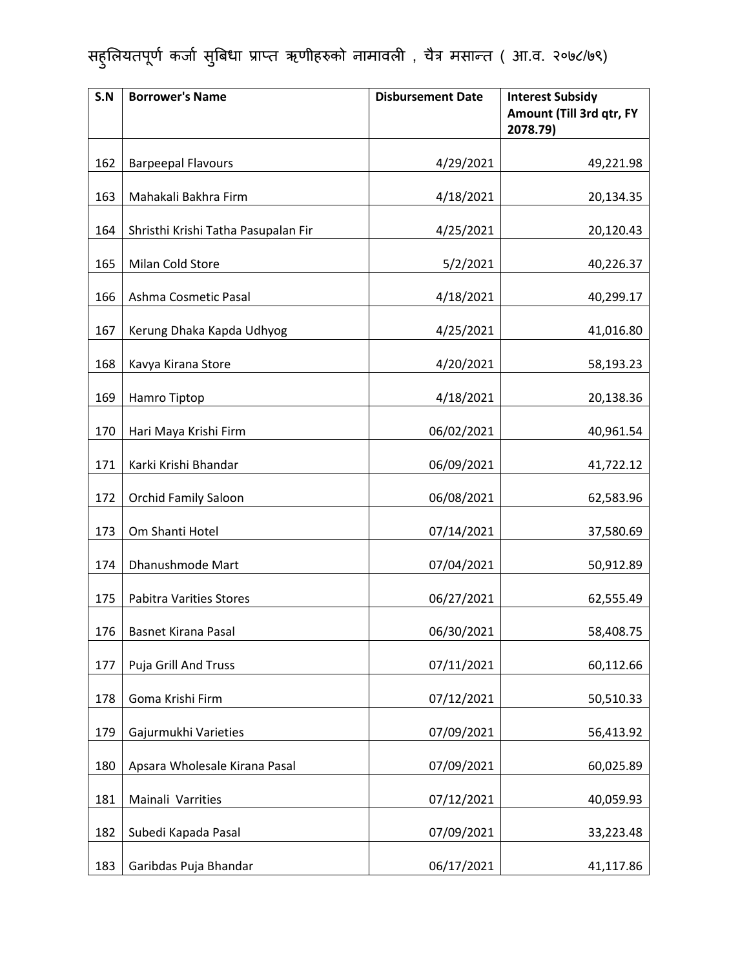| S.N | <b>Borrower's Name</b>              | <b>Disbursement Date</b> | <b>Interest Subsidy</b><br>Amount (Till 3rd qtr, FY<br>2078.79) |
|-----|-------------------------------------|--------------------------|-----------------------------------------------------------------|
| 162 | <b>Barpeepal Flavours</b>           | 4/29/2021                | 49,221.98                                                       |
| 163 | Mahakali Bakhra Firm                | 4/18/2021                | 20,134.35                                                       |
| 164 | Shristhi Krishi Tatha Pasupalan Fir | 4/25/2021                | 20,120.43                                                       |
| 165 | Milan Cold Store                    | 5/2/2021                 | 40,226.37                                                       |
| 166 | Ashma Cosmetic Pasal                | 4/18/2021                | 40,299.17                                                       |
| 167 | Kerung Dhaka Kapda Udhyog           | 4/25/2021                | 41,016.80                                                       |
| 168 | Kavya Kirana Store                  | 4/20/2021                | 58,193.23                                                       |
| 169 | Hamro Tiptop                        | 4/18/2021                | 20,138.36                                                       |
| 170 | Hari Maya Krishi Firm               | 06/02/2021               | 40,961.54                                                       |
| 171 | Karki Krishi Bhandar                | 06/09/2021               | 41,722.12                                                       |
| 172 | <b>Orchid Family Saloon</b>         | 06/08/2021               | 62,583.96                                                       |
| 173 | Om Shanti Hotel                     | 07/14/2021               | 37,580.69                                                       |
| 174 | Dhanushmode Mart                    | 07/04/2021               | 50,912.89                                                       |
| 175 | <b>Pabitra Varities Stores</b>      | 06/27/2021               | 62,555.49                                                       |
| 176 | <b>Basnet Kirana Pasal</b>          | 06/30/2021               | 58,408.75                                                       |
| 177 | <b>Puja Grill And Truss</b>         | 07/11/2021               | 60,112.66                                                       |
| 178 | Goma Krishi Firm                    | 07/12/2021               | 50,510.33                                                       |
| 179 | Gajurmukhi Varieties                | 07/09/2021               | 56,413.92                                                       |
| 180 | Apsara Wholesale Kirana Pasal       | 07/09/2021               | 60,025.89                                                       |
| 181 | Mainali Varrities                   | 07/12/2021               | 40,059.93                                                       |
| 182 | Subedi Kapada Pasal                 | 07/09/2021               | 33,223.48                                                       |
| 183 | Garibdas Puja Bhandar               | 06/17/2021               | 41,117.86                                                       |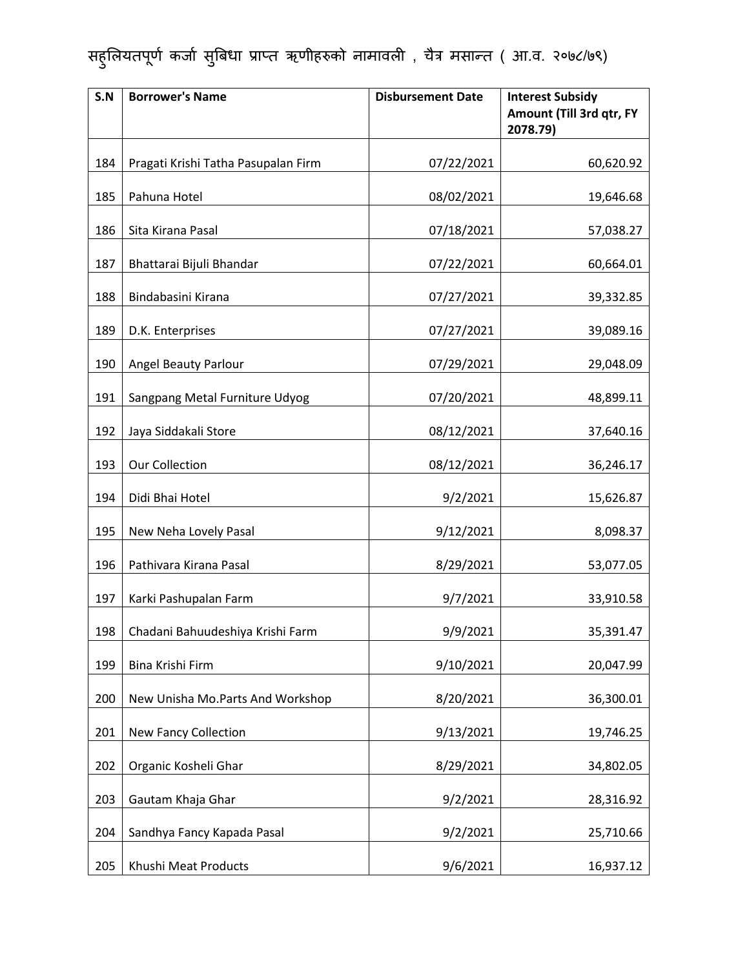| S.N | <b>Borrower's Name</b>              | <b>Disbursement Date</b> | <b>Interest Subsidy</b><br>Amount (Till 3rd qtr, FY<br>2078.79) |
|-----|-------------------------------------|--------------------------|-----------------------------------------------------------------|
| 184 | Pragati Krishi Tatha Pasupalan Firm | 07/22/2021               | 60,620.92                                                       |
| 185 | Pahuna Hotel                        | 08/02/2021               | 19,646.68                                                       |
| 186 | Sita Kirana Pasal                   | 07/18/2021               | 57,038.27                                                       |
| 187 | Bhattarai Bijuli Bhandar            | 07/22/2021               | 60,664.01                                                       |
| 188 | Bindabasini Kirana                  | 07/27/2021               | 39,332.85                                                       |
| 189 | D.K. Enterprises                    | 07/27/2021               | 39,089.16                                                       |
| 190 | <b>Angel Beauty Parlour</b>         | 07/29/2021               | 29,048.09                                                       |
| 191 | Sangpang Metal Furniture Udyog      | 07/20/2021               | 48,899.11                                                       |
| 192 | Jaya Siddakali Store                | 08/12/2021               | 37,640.16                                                       |
| 193 | <b>Our Collection</b>               | 08/12/2021               | 36,246.17                                                       |
| 194 | Didi Bhai Hotel                     | 9/2/2021                 | 15,626.87                                                       |
| 195 | New Neha Lovely Pasal               | 9/12/2021                | 8,098.37                                                        |
| 196 | Pathivara Kirana Pasal              | 8/29/2021                | 53,077.05                                                       |
| 197 | Karki Pashupalan Farm               | 9/7/2021                 | 33,910.58                                                       |
| 198 | Chadani Bahuudeshiya Krishi Farm    | 9/9/2021                 | 35,391.47                                                       |
| 199 | Bina Krishi Firm                    | 9/10/2021                | 20,047.99                                                       |
| 200 | New Unisha Mo.Parts And Workshop    | 8/20/2021                | 36,300.01                                                       |
| 201 | <b>New Fancy Collection</b>         | 9/13/2021                | 19,746.25                                                       |
| 202 | Organic Kosheli Ghar                | 8/29/2021                | 34,802.05                                                       |
| 203 | Gautam Khaja Ghar                   | 9/2/2021                 | 28,316.92                                                       |
| 204 | Sandhya Fancy Kapada Pasal          | 9/2/2021                 | 25,710.66                                                       |
| 205 | Khushi Meat Products                | 9/6/2021                 | 16,937.12                                                       |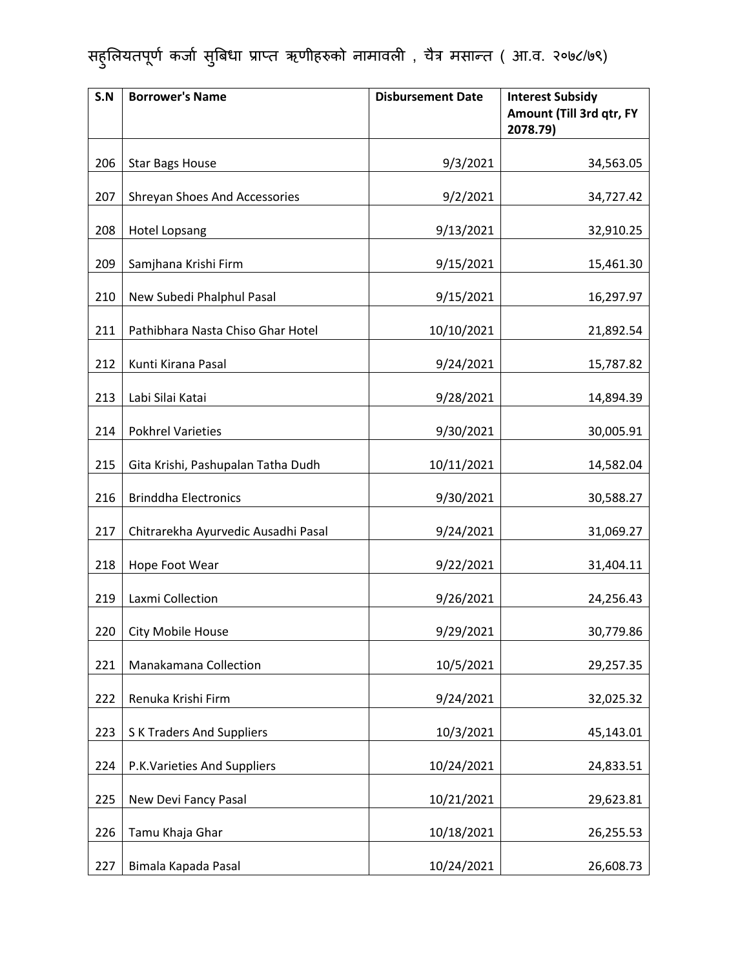| S.N | <b>Borrower's Name</b>              | <b>Disbursement Date</b> | <b>Interest Subsidy</b><br>Amount (Till 3rd qtr, FY<br>2078.79) |
|-----|-------------------------------------|--------------------------|-----------------------------------------------------------------|
| 206 | <b>Star Bags House</b>              | 9/3/2021                 | 34,563.05                                                       |
| 207 | Shreyan Shoes And Accessories       | 9/2/2021                 | 34,727.42                                                       |
| 208 | <b>Hotel Lopsang</b>                | 9/13/2021                | 32,910.25                                                       |
| 209 | Samjhana Krishi Firm                | 9/15/2021                | 15,461.30                                                       |
| 210 | New Subedi Phalphul Pasal           | 9/15/2021                | 16,297.97                                                       |
| 211 | Pathibhara Nasta Chiso Ghar Hotel   | 10/10/2021               | 21,892.54                                                       |
| 212 | Kunti Kirana Pasal                  | 9/24/2021                | 15,787.82                                                       |
| 213 | Labi Silai Katai                    | 9/28/2021                | 14,894.39                                                       |
| 214 | <b>Pokhrel Varieties</b>            | 9/30/2021                | 30,005.91                                                       |
| 215 | Gita Krishi, Pashupalan Tatha Dudh  | 10/11/2021               | 14,582.04                                                       |
| 216 | <b>Brinddha Electronics</b>         | 9/30/2021                | 30,588.27                                                       |
| 217 | Chitrarekha Ayurvedic Ausadhi Pasal | 9/24/2021                | 31,069.27                                                       |
| 218 | Hope Foot Wear                      | 9/22/2021                | 31,404.11                                                       |
| 219 | Laxmi Collection                    | 9/26/2021                | 24,256.43                                                       |
| 220 | City Mobile House                   | 9/29/2021                | 30,779.86                                                       |
| 221 | Manakamana Collection               | 10/5/2021                | 29,257.35                                                       |
| 222 | Renuka Krishi Firm                  | 9/24/2021                | 32,025.32                                                       |
| 223 | <b>SK Traders And Suppliers</b>     | 10/3/2021                | 45,143.01                                                       |
| 224 | P.K. Varieties And Suppliers        | 10/24/2021               | 24,833.51                                                       |
| 225 | New Devi Fancy Pasal                | 10/21/2021               | 29,623.81                                                       |
| 226 | Tamu Khaja Ghar                     | 10/18/2021               | 26,255.53                                                       |
| 227 | Bimala Kapada Pasal                 | 10/24/2021               | 26,608.73                                                       |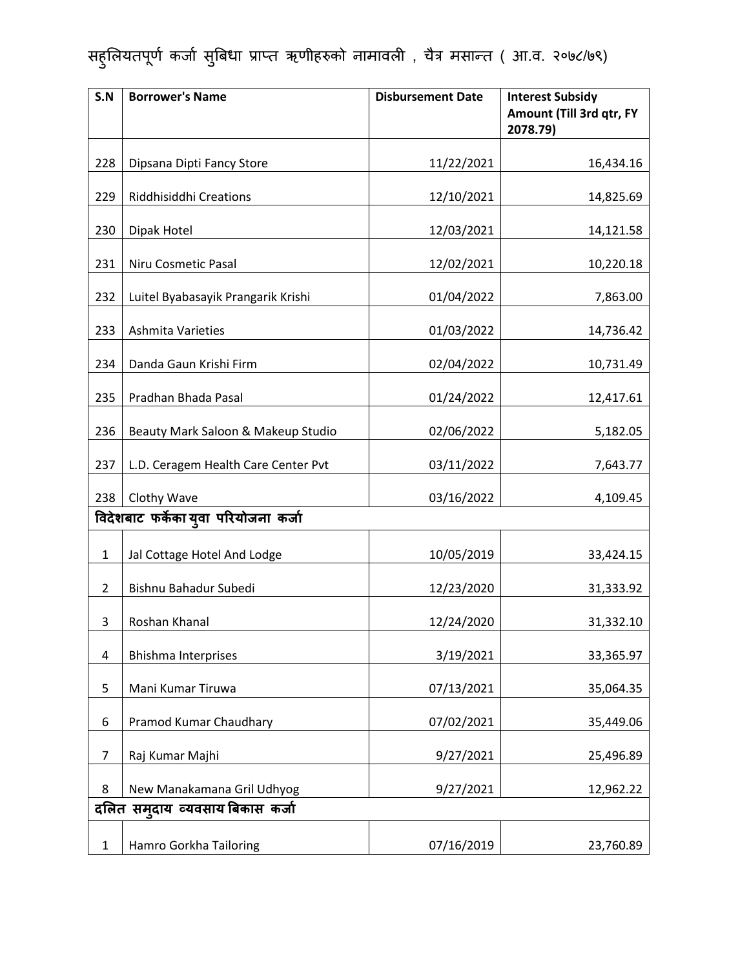| S.N            | <b>Borrower's Name</b>               | <b>Disbursement Date</b> | <b>Interest Subsidy</b><br>Amount (Till 3rd qtr, FY<br>2078.79) |
|----------------|--------------------------------------|--------------------------|-----------------------------------------------------------------|
| 228            | Dipsana Dipti Fancy Store            | 11/22/2021               | 16,434.16                                                       |
| 229            | Riddhisiddhi Creations               | 12/10/2021               | 14,825.69                                                       |
| 230            | Dipak Hotel                          | 12/03/2021               | 14,121.58                                                       |
| 231            | Niru Cosmetic Pasal                  | 12/02/2021               | 10,220.18                                                       |
| 232            | Luitel Byabasayik Prangarik Krishi   | 01/04/2022               | 7,863.00                                                        |
| 233            | Ashmita Varieties                    | 01/03/2022               | 14,736.42                                                       |
| 234            | Danda Gaun Krishi Firm               | 02/04/2022               | 10,731.49                                                       |
| 235            | Pradhan Bhada Pasal                  | 01/24/2022               | 12,417.61                                                       |
| 236            | Beauty Mark Saloon & Makeup Studio   | 02/06/2022               | 5,182.05                                                        |
| 237            | L.D. Ceragem Health Care Center Pvt  | 03/11/2022               | 7,643.77                                                        |
| 238            | Clothy Wave                          | 03/16/2022               | 4,109.45                                                        |
|                | विदेशबाट फर्केका युवा परियोजना कर्जा |                          |                                                                 |
| $\mathbf{1}$   | Jal Cottage Hotel And Lodge          | 10/05/2019               | 33,424.15                                                       |
| $\overline{2}$ | Bishnu Bahadur Subedi                | 12/23/2020               | 31,333.92                                                       |
| 3              | Roshan Khanal                        | 12/24/2020               | 31,332.10                                                       |
| 4              | <b>Bhishma Interprises</b>           | 3/19/2021                | 33,365.97                                                       |
| 5              | Mani Kumar Tiruwa                    | 07/13/2021               | 35,064.35                                                       |
| 6              | Pramod Kumar Chaudhary               | 07/02/2021               | 35,449.06                                                       |
| $\overline{7}$ | Raj Kumar Majhi                      | 9/27/2021                | 25,496.89                                                       |
| 8              | New Manakamana Gril Udhyog           | 9/27/2021                | 12,962.22                                                       |
|                | दलित समुदाय व्यवसाय बिकास कर्जा      |                          |                                                                 |
| $\mathbf 1$    | Hamro Gorkha Tailoring               | 07/16/2019               | 23,760.89                                                       |